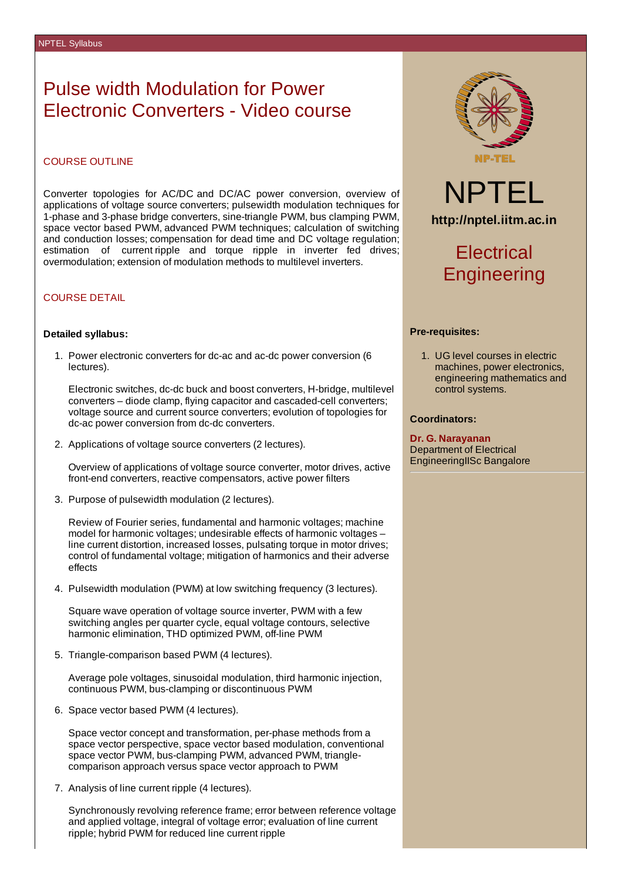## Pulse width Modulation for Power Electronic Converters - Video course

### COURSE OUTLINE

Converter topologies for AC/DC and DC/AC power conversion, overview of applications of voltage source converters; pulsewidth modulation techniques for 1-phase and 3-phase bridge converters, sine-triangle PWM, bus clamping PWM, space vector based PWM, advanced PWM techniques; calculation of switching and conduction losses; compensation for dead time and DC voltage regulation; estimation of current ripple and torque ripple in inverter fed drives; overmodulation; extension of modulation methods to multilevel inverters.

## COURSE DETAIL

#### **Detailed syllabus:**

1. Power electronic converters for dc-ac and ac-dc power conversion (6 lectures).

Electronic switches, dc-dc buck and boost converters, H-bridge, multilevel converters – diode clamp, flying capacitor and cascaded-cell converters; voltage source and current source converters; evolution of topologies for dc-ac power conversion from dc-dc converters.

2. Applications of voltage source converters (2 lectures).

Overview of applications of voltage source converter, motor drives, active front-end converters, reactive compensators, active power filters

3. Purpose of pulsewidth modulation (2 lectures).

Review of Fourier series, fundamental and harmonic voltages; machine model for harmonic voltages; undesirable effects of harmonic voltages – line current distortion, increased losses, pulsating torque in motor drives; control of fundamental voltage; mitigation of harmonics and their adverse effects

4. Pulsewidth modulation (PWM) at low switching frequency (3 lectures).

Square wave operation of voltage source inverter, PWM with a few switching angles per quarter cycle, equal voltage contours, selective harmonic elimination, THD optimized PWM, off-line PWM

5. Triangle-comparison based PWM (4 lectures).

Average pole voltages, sinusoidal modulation, third harmonic injection, continuous PWM, bus-clamping or discontinuous PWM

6. Space vector based PWM (4 lectures).

Space vector concept and transformation, per-phase methods from a space vector perspective, space vector based modulation, conventional space vector PWM, bus-clamping PWM, advanced PWM, trianglecomparison approach versus space vector approach to PWM

7. Analysis of line current ripple (4 lectures).

Synchronously revolving reference frame; error between reference voltage and applied voltage, integral of voltage error; evaluation of line current ripple; hybrid PWM for reduced line current ripple



NPTEL **http://nptel.iitm.ac.in**

# **Electrical Engineering**

### **Pre-requisites:**

1. UG level courses in electric machines, power electronics, engineering mathematics and control systems.

## **Coordinators:**

**Dr. G. Narayanan** Department of Electrical EngineeringIISc Bangalore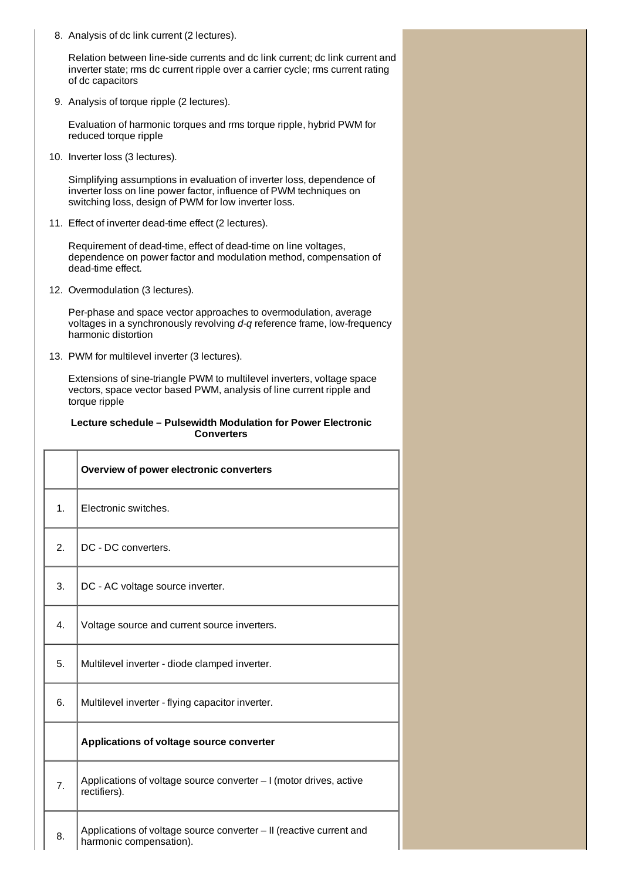8. Analysis of dc link current (2 lectures).

Relation between line-side currents and dc link current; dc link current and inverter state; rms dc current ripple over a carrier cycle; rms current rating of dc capacitors

9. Analysis of torque ripple (2 lectures).

Evaluation of harmonic torques and rms torque ripple, hybrid PWM for reduced torque ripple

10. Inverter loss (3 lectures).

Simplifying assumptions in evaluation of inverter loss, dependence of inverter loss on line power factor, influence of PWM techniques on switching loss, design of PWM for low inverter loss.

11. Effect of inverter dead-time effect (2 lectures).

Requirement of dead-time, effect of dead-time on line voltages, dependence on power factor and modulation method, compensation of dead-time effect.

12. Overmodulation (3 lectures).

Per-phase and space vector approaches to overmodulation, average voltages in a synchronously revolving *d-q* reference frame, low-frequency harmonic distortion

13. PWM for multilevel inverter (3 lectures).

Extensions of sine-triangle PWM to multilevel inverters, voltage space vectors, space vector based PWM, analysis of line current ripple and torque ripple

## **Lecture schedule – Pulsewidth Modulation for Power Electronic Converters**

|    | Overview of power electronic converters                                                           |  |  |
|----|---------------------------------------------------------------------------------------------------|--|--|
| 1. | Electronic switches.                                                                              |  |  |
| 2. | DC - DC converters.                                                                               |  |  |
| 3. | DC - AC voltage source inverter.                                                                  |  |  |
| 4. | Voltage source and current source inverters.                                                      |  |  |
| 5. | Multilevel inverter - diode clamped inverter.<br>Multilevel inverter - flying capacitor inverter. |  |  |
| 6. |                                                                                                   |  |  |
|    | Applications of voltage source converter                                                          |  |  |
| 7. | Applications of voltage source converter - I (motor drives, active<br>rectifiers).                |  |  |
| 8. | Applications of voltage source converter - II (reactive current and<br>harmonic compensation).    |  |  |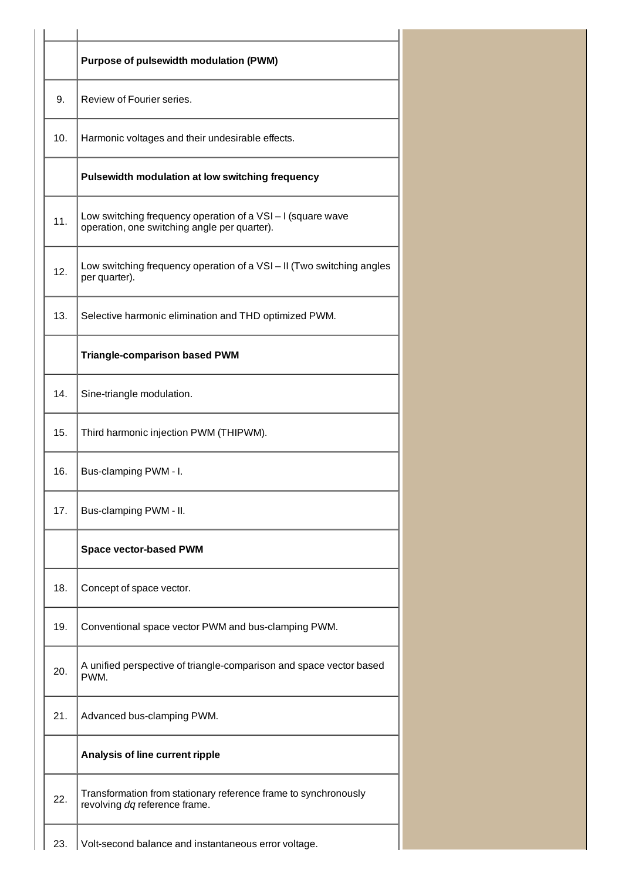|     | Purpose of pulsewidth modulation (PWM)                                                                    |  |  |
|-----|-----------------------------------------------------------------------------------------------------------|--|--|
| 9.  | Review of Fourier series.                                                                                 |  |  |
| 10. | Harmonic voltages and their undesirable effects.                                                          |  |  |
|     | Pulsewidth modulation at low switching frequency                                                          |  |  |
| 11. | Low switching frequency operation of a VSI-I (square wave<br>operation, one switching angle per quarter). |  |  |
| 12. | Low switching frequency operation of a VSI - II (Two switching angles<br>per quarter).                    |  |  |
| 13. | Selective harmonic elimination and THD optimized PWM.                                                     |  |  |
|     | <b>Triangle-comparison based PWM</b>                                                                      |  |  |
| 14. | Sine-triangle modulation.                                                                                 |  |  |
| 15. | Third harmonic injection PWM (THIPWM).                                                                    |  |  |
| 16. | Bus-clamping PWM - I.                                                                                     |  |  |
| 17. | Bus-clamping PWM - II.                                                                                    |  |  |
|     | <b>Space vector-based PWM</b>                                                                             |  |  |
| 18. | Concept of space vector.                                                                                  |  |  |
| 19. | Conventional space vector PWM and bus-clamping PWM.                                                       |  |  |
| 20. | A unified perspective of triangle-comparison and space vector based<br>PWM.                               |  |  |
| 21. | Advanced bus-clamping PWM.                                                                                |  |  |
|     | Analysis of line current ripple                                                                           |  |  |
| 22. | Transformation from stationary reference frame to synchronously<br>revolving dq reference frame.          |  |  |
| 23. | Volt-second balance and instantaneous error voltage.                                                      |  |  |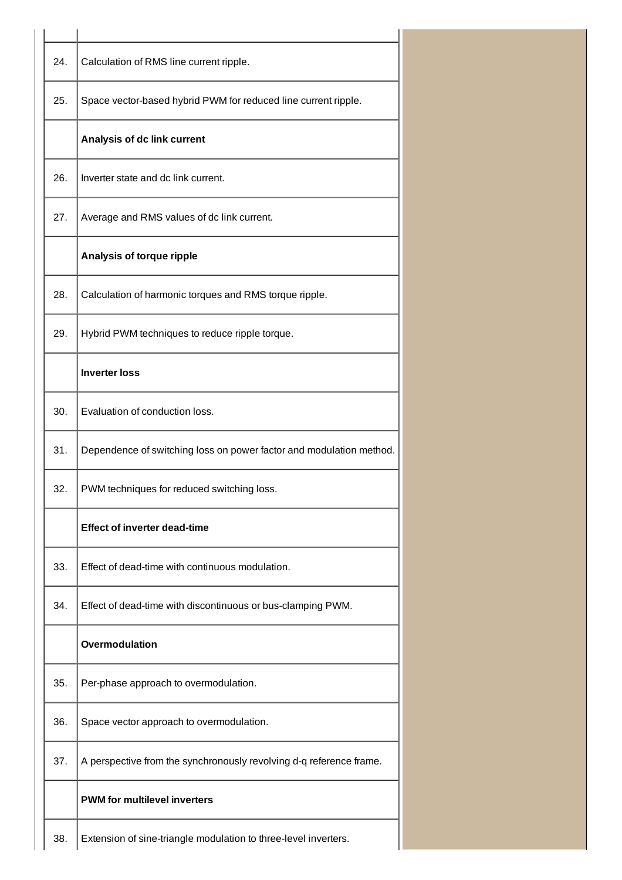| 24. | Calculation of RMS line current ripple.                             |
|-----|---------------------------------------------------------------------|
| 25. | Space vector-based hybrid PWM for reduced line current ripple.      |
|     | Analysis of dc link current                                         |
| 26. | Inverter state and dc link current.                                 |
| 27. | Average and RMS values of dc link current.                          |
|     | Analysis of torque ripple                                           |
| 28. | Calculation of harmonic torques and RMS torque ripple.              |
| 29. | Hybrid PWM techniques to reduce ripple torque.                      |
|     | <b>Inverter loss</b>                                                |
| 30. | Evaluation of conduction loss.                                      |
| 31. | Dependence of switching loss on power factor and modulation method. |
| 32. | PWM techniques for reduced switching loss.                          |
|     | <b>Effect of inverter dead-time</b>                                 |
| 33. | Effect of dead-time with continuous modulation.                     |
| 34. | Effect of dead-time with discontinuous or bus-clamping PWM.         |
|     | Overmodulation                                                      |
| 35. | Per-phase approach to overmodulation.                               |
| 36. | Space vector approach to overmodulation.                            |
| 37. | A perspective from the synchronously revolving d-q reference frame. |
|     | <b>PWM for multilevel inverters</b>                                 |
| 38. | Extension of sine-triangle modulation to three-level inverters.     |